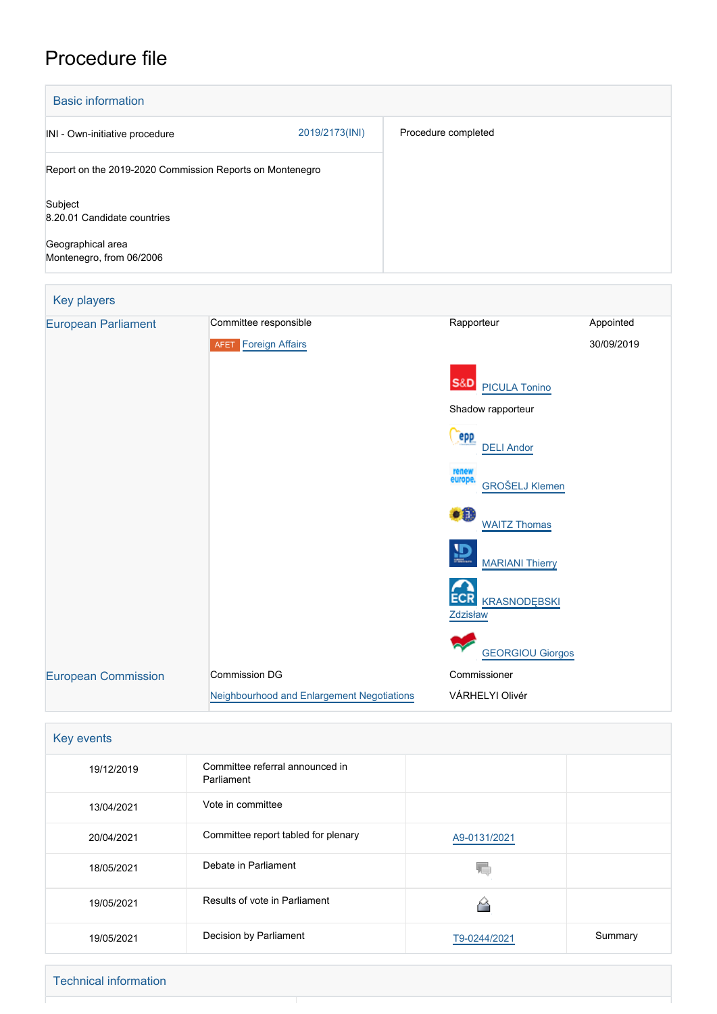# Procedure file

| <b>Basic information</b>                                 |                |                     |
|----------------------------------------------------------|----------------|---------------------|
| INI - Own-initiative procedure                           | 2019/2173(INI) | Procedure completed |
| Report on the 2019-2020 Commission Reports on Montenegro |                |                     |
| Subject<br>8.20.01 Candidate countries                   |                |                     |
| Geographical area<br>Montenegro, from 06/2006            |                |                     |

| Key players                |                                            |                                               |            |
|----------------------------|--------------------------------------------|-----------------------------------------------|------------|
| <b>European Parliament</b> | Committee responsible                      | Rapporteur                                    | Appointed  |
|                            | <b>AFET</b> Foreign Affairs                |                                               | 30/09/2019 |
|                            |                                            | S&D<br><b>PICULA Tonino</b>                   |            |
|                            |                                            | Shadow rapporteur                             |            |
|                            |                                            | epp<br><b>DELI Andor</b>                      |            |
|                            |                                            | renew<br>europe.<br><b>GROŠELJ Klemen</b>     |            |
|                            |                                            | €Ô<br><b>WAITZ Thomas</b>                     |            |
|                            |                                            | 恩<br><b>MARIANI Thierry</b>                   |            |
|                            |                                            | <b>ECR</b><br><b>KRASNODĘBSKI</b><br>Zdzisław |            |
|                            |                                            | <b>GEORGIOU Giorgos</b>                       |            |
| <b>European Commission</b> | <b>Commission DG</b>                       | Commissioner                                  |            |
|                            | Neighbourhood and Enlargement Negotiations | VÁRHELYI Olivér                               |            |

| Key events |  |
|------------|--|
| 19/12/2019 |  |

| 19/12/2019 | Committee referral announced in<br>Parliament |              |         |
|------------|-----------------------------------------------|--------------|---------|
| 13/04/2021 | Vote in committee                             |              |         |
| 20/04/2021 | Committee report tabled for plenary           | A9-0131/2021 |         |
| 18/05/2021 | Debate in Parliament                          |              |         |
| 19/05/2021 | Results of vote in Parliament                 |              |         |
| 19/05/2021 | Decision by Parliament                        | T9-0244/2021 | Summary |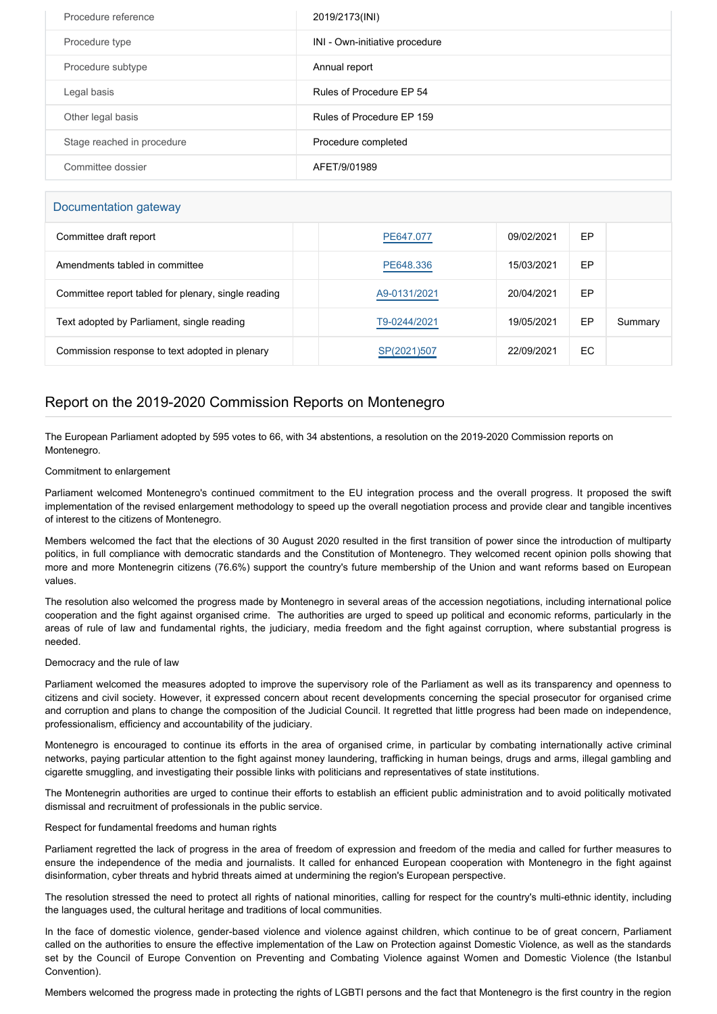| Procedure reference        | 2019/2173(INI)                 |
|----------------------------|--------------------------------|
| Procedure type             | INI - Own-initiative procedure |
| Procedure subtype          | Annual report                  |
| Legal basis                | Rules of Procedure EP 54       |
| Other legal basis          | Rules of Procedure EP 159      |
| Stage reached in procedure | Procedure completed            |
| Committee dossier          | AFET/9/01989                   |

### Documentation gateway

| Committee draft report                              | PE647.077    | 09/02/2021 | EP  |         |
|-----------------------------------------------------|--------------|------------|-----|---------|
| Amendments tabled in committee                      | PE648.336    | 15/03/2021 | EP  |         |
| Committee report tabled for plenary, single reading | A9-0131/2021 | 20/04/2021 | EP  |         |
| Text adopted by Parliament, single reading          | T9-0244/2021 | 19/05/2021 | EP  | Summary |
| Commission response to text adopted in plenary      | SP(2021)507  | 22/09/2021 | EC. |         |

## Report on the 2019-2020 Commission Reports on Montenegro

The European Parliament adopted by 595 votes to 66, with 34 abstentions, a resolution on the 2019-2020 Commission reports on Montenegro.

#### Commitment to enlargement

Parliament welcomed Montenegro's continued commitment to the EU integration process and the overall progress. It proposed the swift implementation of the revised enlargement methodology to speed up the overall negotiation process and provide clear and tangible incentives of interest to the citizens of Montenegro.

Members welcomed the fact that the elections of 30 August 2020 resulted in the first transition of power since the introduction of multiparty politics, in full compliance with democratic standards and the Constitution of Montenegro. They welcomed recent opinion polls showing that more and more Montenegrin citizens (76.6%) support the country's future membership of the Union and want reforms based on European values.

The resolution also welcomed the progress made by Montenegro in several areas of the accession negotiations, including international police cooperation and the fight against organised crime. The authorities are urged to speed up political and economic reforms, particularly in the areas of rule of law and fundamental rights, the judiciary, media freedom and the fight against corruption, where substantial progress is needed.

#### Democracy and the rule of law

Parliament welcomed the measures adopted to improve the supervisory role of the Parliament as well as its transparency and openness to citizens and civil society. However, it expressed concern about recent developments concerning the special prosecutor for organised crime and corruption and plans to change the composition of the Judicial Council. It regretted that little progress had been made on independence, professionalism, efficiency and accountability of the judiciary.

Montenegro is encouraged to continue its efforts in the area of organised crime, in particular by combating internationally active criminal networks, paying particular attention to the fight against money laundering, trafficking in human beings, drugs and arms, illegal gambling and cigarette smuggling, and investigating their possible links with politicians and representatives of state institutions.

The Montenegrin authorities are urged to continue their efforts to establish an efficient public administration and to avoid politically motivated dismissal and recruitment of professionals in the public service.

Respect for fundamental freedoms and human rights

Parliament regretted the lack of progress in the area of freedom of expression and freedom of the media and called for further measures to ensure the independence of the media and journalists. It called for enhanced European cooperation with Montenegro in the fight against disinformation, cyber threats and hybrid threats aimed at undermining the region's European perspective.

The resolution stressed the need to protect all rights of national minorities, calling for respect for the country's multi-ethnic identity, including the languages used, the cultural heritage and traditions of local communities.

In the face of domestic violence, gender-based violence and violence against children, which continue to be of great concern, Parliament called on the authorities to ensure the effective implementation of the Law on Protection against Domestic Violence, as well as the standards set by the Council of Europe Convention on Preventing and Combating Violence against Women and Domestic Violence (the Istanbul Convention).

Members welcomed the progress made in protecting the rights of LGBTI persons and the fact that Montenegro is the first country in the region